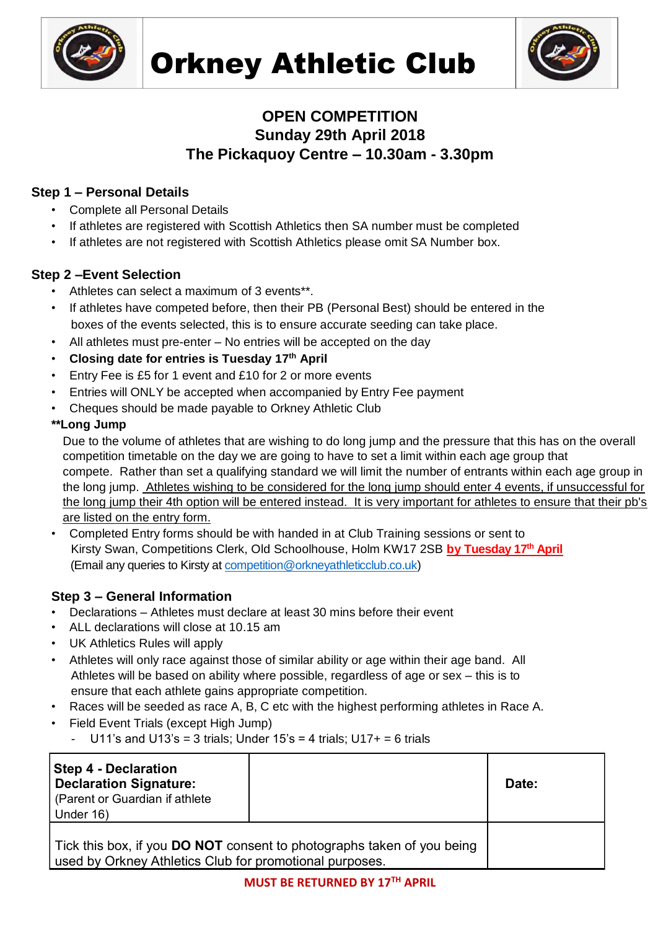



# **OPEN COMPETITION Sunday 29th April 2018 The Pickaquoy Centre – 10.30am - 3.30pm**

# **Step 1 – Personal Details**

- Complete all Personal Details
- If athletes are registered with Scottish Athletics then SA number must be completed
- If athletes are not registered with Scottish Athletics please omit SA Number box.

## **Step 2 –Event Selection**

- Athletes can select a maximum of 3 events\*\*.
- If athletes have competed before, then their PB (Personal Best) should be entered in the boxes of the events selected, this is to ensure accurate seeding can take place.
- All athletes must pre-enter No entries will be accepted on the day
- **Closing date for entries is Tuesday 17 th April**
- Entry Fee is £5 for 1 event and £10 for 2 or more events
- Entries will ONLY be accepted when accompanied by Entry Fee payment
- Cheques should be made payable to Orkney Athletic Club

### **\*\*Long Jump**

Due to the volume of athletes that are wishing to do long jump and the pressure that this has on the overall competition timetable on the day we are going to have to set a limit within each age group that compete. Rather than set a qualifying standard we will limit the number of entrants within each age group in the long jump. Athletes wishing to be considered for the long jump should enter 4 events, if unsuccessful for the long jump their 4th option will be entered instead. It is very important for athletes to ensure that their pb's are listed on the entry form.

• Completed Entry forms should be with handed in at Club Training sessions or sent to Kirsty Swan, Competitions Clerk, Old Schoolhouse, Holm KW17 2SB **by Tuesday 17th April** (Email any queries to Kirsty at [competition@orkneyathleticclub.co.uk\)](mailto:competition@orkneyathleticclub.co.uk)

# **Step 3 – General Information**

- Declarations Athletes must declare at least 30 mins before their event
- ALL declarations will close at 10.15 am
- UK Athletics Rules will apply
- Athletes will only race against those of similar ability or age within their age band. All Athletes will be based on ability where possible, regardless of age or sex – this is to ensure that each athlete gains appropriate competition.
- Races will be seeded as race A, B, C etc with the highest performing athletes in Race A.
- Field Event Trials (except High Jump)
	- U11's and U13's = 3 trials; Under  $15$ 's = 4 trials; U17+ = 6 trials

| <b>Step 4 - Declaration</b><br><b>Declaration Signature:</b><br>(Parent or Guardian if athlete                                           |  | Date: |
|------------------------------------------------------------------------------------------------------------------------------------------|--|-------|
| Under 16)                                                                                                                                |  |       |
| Tick this box, if you <b>DO NOT</b> consent to photographs taken of you being<br>used by Orkney Athletics Club for promotional purposes. |  |       |